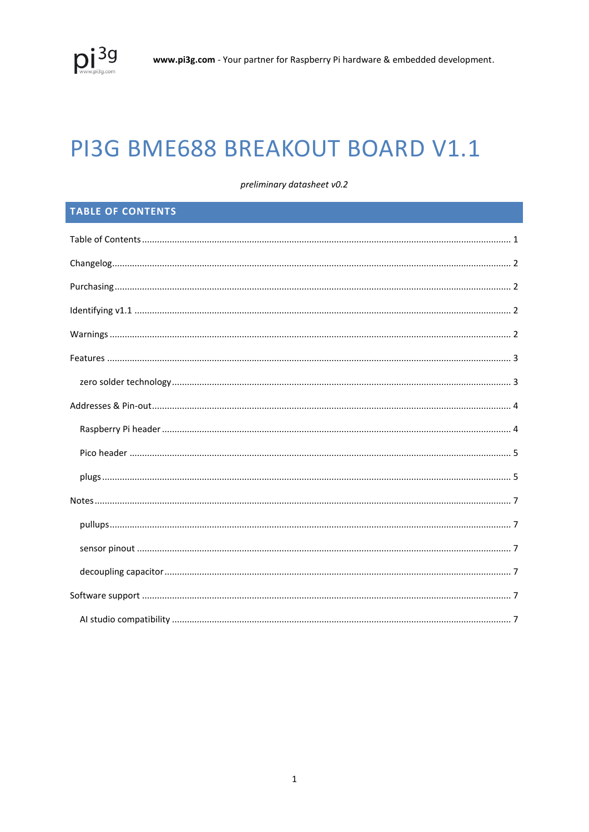# PI3G BME688 BREAKOUT BOARD V1.1

preliminary datasheet v0.2

# <span id="page-0-0"></span>**TABLE OF CONTENTS**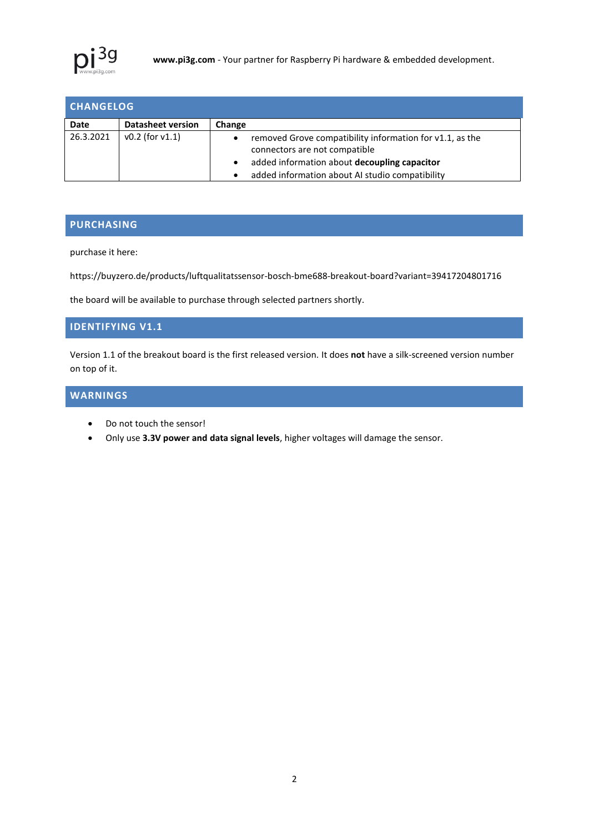

<span id="page-1-0"></span>

| <b>CHANGELOG</b> |                          |                                                                                                              |  |
|------------------|--------------------------|--------------------------------------------------------------------------------------------------------------|--|
| Date             | <b>Datasheet version</b> | Change                                                                                                       |  |
| 26.3.2021        | $v0.2$ (for $v1.1$ )     | removed Grove compatibility information for v1.1, as the<br>$\bullet$<br>connectors are not compatible       |  |
|                  |                          | added information about decoupling capacitor<br>$\bullet$<br>added information about AI studio compatibility |  |

# <span id="page-1-1"></span>**PURCHASING**

purchase it here:

https://buyzero.de/products/luftqualitatssensor-bosch-bme688-breakout-board?variant=39417204801716

the board will be available to purchase through selected partners shortly.

## <span id="page-1-2"></span>**IDENTIFYING V1.1**

Version 1.1 of the breakout board is the first released version. It does **not** have a silk-screened version number on top of it.

# <span id="page-1-3"></span>**WARNINGS**

- Do not touch the sensor!
- Only use **3.3V power and data signal levels**, higher voltages will damage the sensor.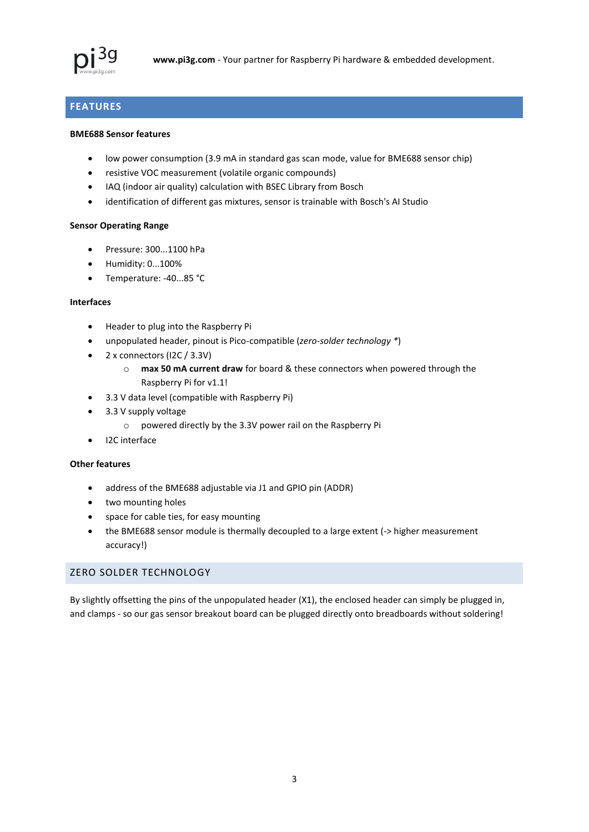

# <span id="page-2-0"></span>**FEATURES**

#### **BME688 Sensor features**

- low power consumption (3.9 mA in standard gas scan mode, value for BME688 sensor chip)
- resistive VOC measurement (volatile organic compounds)
- IAQ (indoor air quality) calculation with BSEC Library from Bosch
- identification of different gas mixtures, sensor is trainable with Bosch's AI Studio

#### **Sensor Operating Range**

- Pressure: 300...1100 hPa
- $\bullet$  Humidity:  $0...100\%$
- Temperature: -40...85 °C

## **Interfaces**

- Header to plug into the Raspberry Pi
- unpopulated header, pinout is Pico-compatible (*zero-solder technology \**)
- 2 x connectors (I2C / 3.3V)
	- o **max 50 mA current draw** for board & these connectors when powered through the Raspberry Pi for v1.1!
- 3.3 V data level (compatible with Raspberry Pi)
- 3.3 V supply voltage
	- o powered directly by the 3.3V power rail on the Raspberry Pi
- I2C interface

## **Other features**

- address of the BME688 adjustable via J1 and GPIO pin (ADDR)
- two mounting holes
- space for cable ties, for easy mounting
- the BME688 sensor module is thermally decoupled to a large extent (-> higher measurement accuracy!)

## <span id="page-2-1"></span>ZERO SOLDER TECHNOLOGY

By slightly offsetting the pins of the unpopulated header (X1), the enclosed header can simply be plugged in, and clamps - so our gas sensor breakout board can be plugged directly onto breadboards without soldering!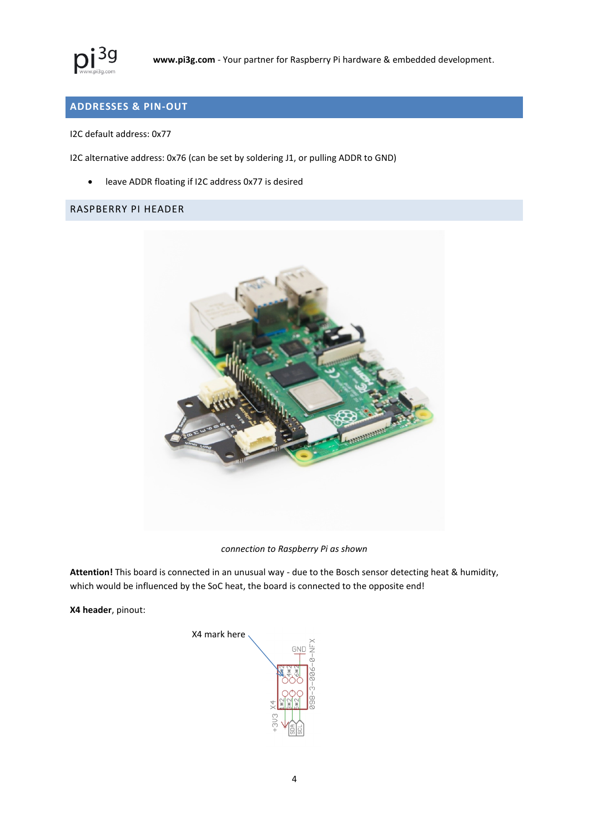

# <span id="page-3-0"></span>**ADDRESSES & PIN-OUT**

I2C default address: 0x77

I2C alternative address: 0x76 (can be set by soldering J1, or pulling ADDR to GND)

leave ADDR floating if I2C address 0x77 is desired

# <span id="page-3-1"></span>RASPBERRY PI HEADER



*connection to Raspberry Pi as shown*

**Attention!** This board is connected in an unusual way - due to the Bosch sensor detecting heat & humidity, which would be influenced by the SoC heat, the board is connected to the opposite end!

**X4 header**, pinout:

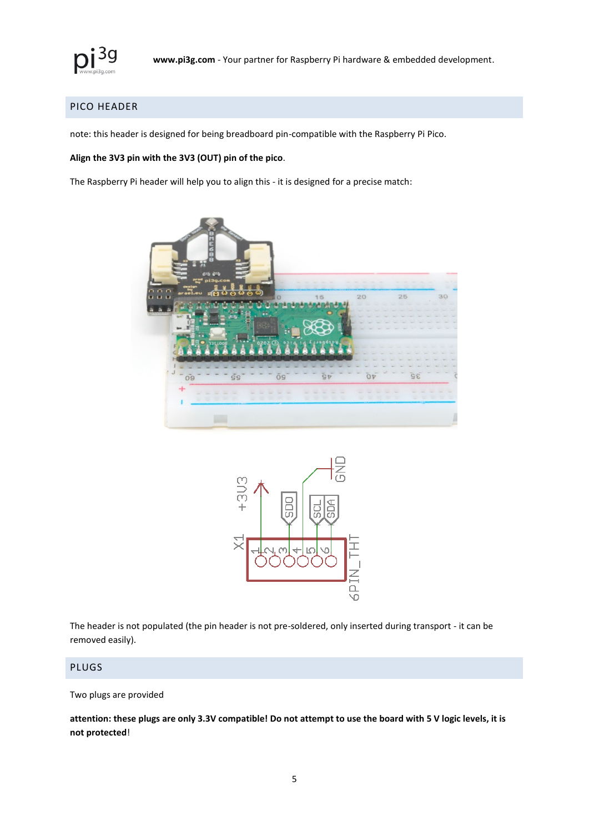

# <span id="page-4-0"></span>PICO HEADER

note: this header is designed for being breadboard pin-compatible with the Raspberry Pi Pico.

#### **Align the 3V3 pin with the 3V3 (OUT) pin of the pico**.

The Raspberry Pi header will help you to align this - it is designed for a precise match:





The header is not populated (the pin header is not pre-soldered, only inserted during transport - it can be removed easily).

## <span id="page-4-1"></span>PLUGS

#### Two plugs are provided

**attention: these plugs are only 3.3V compatible! Do not attempt to use the board with 5 V logic levels, it is not protected**!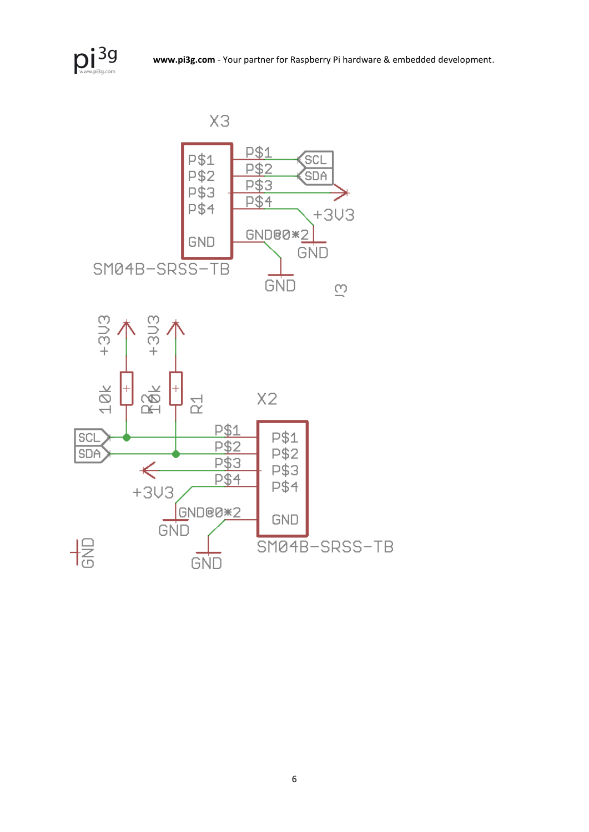